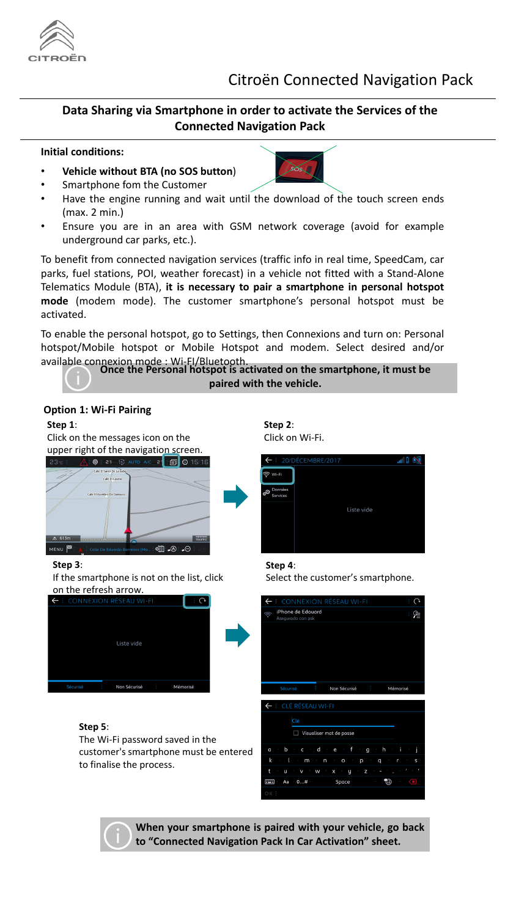## Citroën Connected Navigation Pack

## **Data Sharing via Smartphone in order to activate the Services of the Connected Navigation Pack**

### **Initial conditions:**

- **Vehicle without BTA (no SOS button**)
- Smartphone fom the Customer
- Have the engine running and wait until the download of the touch screen ends (max. 2 min.)
- Ensure you are in an area with GSM network coverage (avoid for example underground car parks, etc.).

To benefit from connected navigation services (traffic info in real time, SpeedCam, car parks, fuel stations, POI, weather forecast) in a vehicle not fitted with a Stand-Alone Telematics Module (BTA), **it is necessary to pair a smartphone in personal hotspot mode** (modem mode). The customer smartphone's personal hotspot must be activated.

To enable the personal hotspot, go to Settings, then Connexions and turn on: Personal hotspot/Mobile hotspot or Mobile Hotspot and modem. Select desired and/or available connexion mode : Wi-FI/Bluetooth.

**Once the Personal hotspot is activated on the smartphone, it must be paired with the vehicle.**



**When your smartphone is paired with your vehicle, go back to "Connected Navigation Pack In Car Activation" sheet.**

## **Option 1: Wi-Fi Pairing**